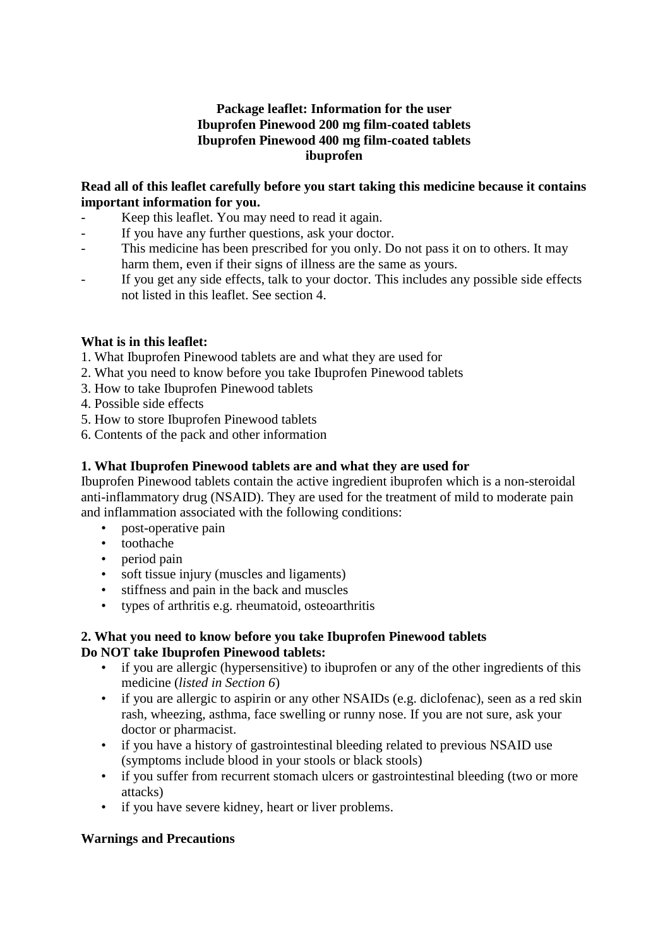## **Package leaflet: Information for the user Ibuprofen Pinewood 200 mg film-coated tablets Ibuprofen Pinewood 400 mg film-coated tablets ibuprofen**

## **Read all of this leaflet carefully before you start taking this medicine because it contains important information for you.**

- Keep this leaflet. You may need to read it again.
- If you have any further questions, ask your doctor.
- This medicine has been prescribed for you only. Do not pass it on to others. It may harm them, even if their signs of illness are the same as yours.
- If you get any side effects, talk to your doctor. This includes any possible side effects not listed in this leaflet. See section 4.

## **What is in this leaflet:**

- 1. What Ibuprofen Pinewood tablets are and what they are used for
- 2. What you need to know before you take Ibuprofen Pinewood tablets
- 3. How to take Ibuprofen Pinewood tablets
- 4. Possible side effects
- 5. How to store Ibuprofen Pinewood tablets
- 6. Contents of the pack and other information

## **1. What Ibuprofen Pinewood tablets are and what they are used for**

Ibuprofen Pinewood tablets contain the active ingredient ibuprofen which is a non-steroidal anti-inflammatory drug (NSAID). They are used for the treatment of mild to moderate pain and inflammation associated with the following conditions:

- post-operative pain
- toothache
- period pain
- soft tissue injury (muscles and ligaments)
- stiffness and pain in the back and muscles
- types of arthritis e.g. rheumatoid, osteoarthritis

# **2. What you need to know before you take Ibuprofen Pinewood tablets Do NOT take Ibuprofen Pinewood tablets:**

- if you are allergic (hypersensitive) to ibuprofen or any of the other ingredients of this medicine (*listed in Section 6*)
- if you are allergic to aspirin or any other NSAIDs (e.g. diclofenac), seen as a red skin rash, wheezing, asthma, face swelling or runny nose. If you are not sure, ask your doctor or pharmacist.
- if you have a history of gastrointestinal bleeding related to previous NSAID use (symptoms include blood in your stools or black stools)
- if you suffer from recurrent stomach ulcers or gastrointestinal bleeding (two or more attacks)
- if you have severe kidney, heart or liver problems.

# **Warnings and Precautions**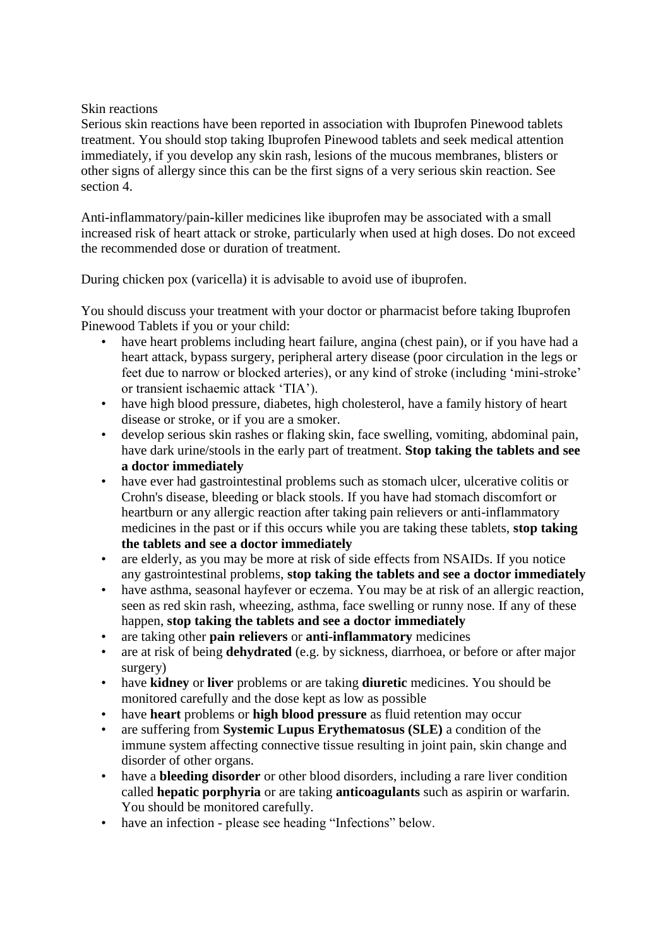## Skin reactions

Serious skin reactions have been reported in association with Ibuprofen Pinewood tablets treatment. You should stop taking Ibuprofen Pinewood tablets and seek medical attention immediately, if you develop any skin rash, lesions of the mucous membranes, blisters or other signs of allergy since this can be the first signs of a very serious skin reaction. See section 4.

Anti-inflammatory/pain-killer medicines like ibuprofen may be associated with a small increased risk of heart attack or stroke, particularly when used at high doses. Do not exceed the recommended dose or duration of treatment.

During chicken pox (varicella) it is advisable to avoid use of ibuprofen.

You should discuss your treatment with your doctor or pharmacist before taking Ibuprofen Pinewood Tablets if you or your child:

- have heart problems including heart failure, angina (chest pain), or if you have had a heart attack, bypass surgery, peripheral artery disease (poor circulation in the legs or feet due to narrow or blocked arteries), or any kind of stroke (including 'mini-stroke' or transient ischaemic attack 'TIA').
- have high blood pressure, diabetes, high cholesterol, have a family history of heart disease or stroke, or if you are a smoker.
- develop serious skin rashes or flaking skin, face swelling, vomiting, abdominal pain, have dark urine/stools in the early part of treatment. **Stop taking the tablets and see a doctor immediately**
- have ever had gastrointestinal problems such as stomach ulcer, ulcerative colitis or Crohn's disease, bleeding or black stools. If you have had stomach discomfort or heartburn or any allergic reaction after taking pain relievers or anti-inflammatory medicines in the past or if this occurs while you are taking these tablets, **stop taking the tablets and see a doctor immediately**
- are elderly, as you may be more at risk of side effects from NSAIDs. If you notice any gastrointestinal problems, **stop taking the tablets and see a doctor immediately**
- have asthma, seasonal hayfever or eczema. You may be at risk of an allergic reaction, seen as red skin rash, wheezing, asthma, face swelling or runny nose. If any of these happen, **stop taking the tablets and see a doctor immediately**
- are taking other **pain relievers** or **anti-inflammatory** medicines
- are at risk of being **dehydrated** (e.g. by sickness, diarrhoea, or before or after major surgery)
- have **kidney** or **liver** problems or are taking **diuretic** medicines. You should be monitored carefully and the dose kept as low as possible
- have **heart** problems or **high blood pressure** as fluid retention may occur
- are suffering from **Systemic Lupus Erythematosus (SLE)** a condition of the immune system affecting connective tissue resulting in joint pain, skin change and disorder of other organs.
- have a **bleeding disorder** or other blood disorders, including a rare liver condition called **hepatic porphyria** or are taking **anticoagulants** such as aspirin or warfarin. You should be monitored carefully.
- have an infection please see heading "Infections" below.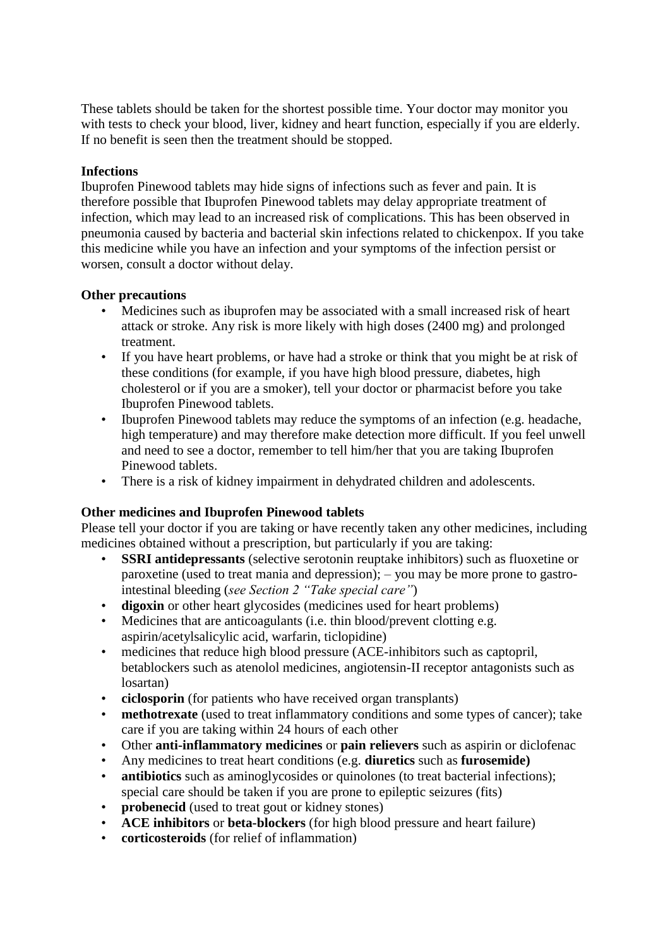These tablets should be taken for the shortest possible time. Your doctor may monitor you with tests to check your blood, liver, kidney and heart function, especially if you are elderly. If no benefit is seen then the treatment should be stopped.

#### **Infections**

Ibuprofen Pinewood tablets may hide signs of infections such as fever and pain. It is therefore possible that Ibuprofen Pinewood tablets may delay appropriate treatment of infection, which may lead to an increased risk of complications. This has been observed in pneumonia caused by bacteria and bacterial skin infections related to chickenpox. If you take this medicine while you have an infection and your symptoms of the infection persist or worsen, consult a doctor without delay.

## **Other precautions**

- Medicines such as ibuprofen may be associated with a small increased risk of heart attack or stroke. Any risk is more likely with high doses (2400 mg) and prolonged treatment.
- If you have heart problems, or have had a stroke or think that you might be at risk of these conditions (for example, if you have high blood pressure, diabetes, high cholesterol or if you are a smoker), tell your doctor or pharmacist before you take Ibuprofen Pinewood tablets.
- Ibuprofen Pinewood tablets may reduce the symptoms of an infection (e.g. headache, high temperature) and may therefore make detection more difficult. If you feel unwell and need to see a doctor, remember to tell him/her that you are taking Ibuprofen Pinewood tablets.
- There is a risk of kidney impairment in dehydrated children and adolescents.

# **Other medicines and Ibuprofen Pinewood tablets**

Please tell your doctor if you are taking or have recently taken any other medicines, including medicines obtained without a prescription, but particularly if you are taking:

- **SSRI antidepressants** (selective serotonin reuptake inhibitors) such as fluoxetine or paroxetine (used to treat mania and depression); – you may be more prone to gastrointestinal bleeding (*see Section 2 "Take special care"*)
- **digoxin** or other heart glycosides (medicines used for heart problems)
- Medicines that are anticoagulants (i.e. thin blood/prevent clotting e.g. aspirin/acetylsalicylic acid, warfarin, ticlopidine)
- medicines that reduce high blood pressure (ACE-inhibitors such as captopril, betablockers such as atenolol medicines, angiotensin-II receptor antagonists such as losartan)
- **ciclosporin** (for patients who have received organ transplants)
- **methotrexate** (used to treat inflammatory conditions and some types of cancer); take care if you are taking within 24 hours of each other
- Other **anti-inflammatory medicines** or **pain relievers** such as aspirin or diclofenac
- Any medicines to treat heart conditions (e.g. **diuretics** such as **furosemide)**
- **antibiotics** such as aminoglycosides or quinolones (to treat bacterial infections); special care should be taken if you are prone to epileptic seizures (fits)
- **probenecid** (used to treat gout or kidney stones)
- **ACE inhibitors** or **beta-blockers** (for high blood pressure and heart failure)
- **corticosteroids** (for relief of inflammation)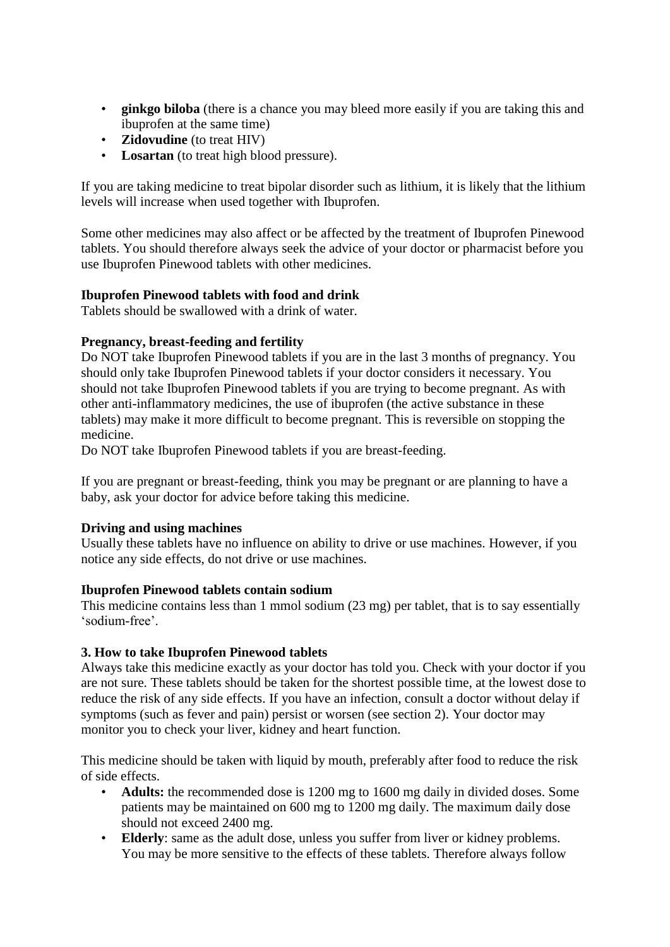- **ginkgo biloba** (there is a chance you may bleed more easily if you are taking this and ibuprofen at the same time)
- **Zidovudine** (to treat HIV)
- **Losartan** (to treat high blood pressure).

If you are taking medicine to treat bipolar disorder such as lithium, it is likely that the lithium levels will increase when used together with Ibuprofen.

Some other medicines may also affect or be affected by the treatment of Ibuprofen Pinewood tablets. You should therefore always seek the advice of your doctor or pharmacist before you use Ibuprofen Pinewood tablets with other medicines.

# **Ibuprofen Pinewood tablets with food and drink**

Tablets should be swallowed with a drink of water.

# **Pregnancy, breast-feeding and fertility**

Do NOT take Ibuprofen Pinewood tablets if you are in the last 3 months of pregnancy. You should only take Ibuprofen Pinewood tablets if your doctor considers it necessary. You should not take Ibuprofen Pinewood tablets if you are trying to become pregnant. As with other anti-inflammatory medicines, the use of ibuprofen (the active substance in these tablets) may make it more difficult to become pregnant. This is reversible on stopping the medicine.

Do NOT take Ibuprofen Pinewood tablets if you are breast-feeding.

If you are pregnant or breast-feeding, think you may be pregnant or are planning to have a baby, ask your doctor for advice before taking this medicine.

# **Driving and using machines**

Usually these tablets have no influence on ability to drive or use machines. However, if you notice any side effects, do not drive or use machines.

#### **Ibuprofen Pinewood tablets contain sodium**

This medicine contains less than 1 mmol sodium (23 mg) per tablet, that is to say essentially 'sodium-free'.

# **3. How to take Ibuprofen Pinewood tablets**

Always take this medicine exactly as your doctor has told you. Check with your doctor if you are not sure. These tablets should be taken for the shortest possible time, at the lowest dose to reduce the risk of any side effects. If you have an infection, consult a doctor without delay if symptoms (such as fever and pain) persist or worsen (see section 2). Your doctor may monitor you to check your liver, kidney and heart function.

This medicine should be taken with liquid by mouth, preferably after food to reduce the risk of side effects.

- **Adults:** the recommended dose is 1200 mg to 1600 mg daily in divided doses. Some patients may be maintained on 600 mg to 1200 mg daily. The maximum daily dose should not exceed 2400 mg.
- **Elderly**: same as the adult dose, unless you suffer from liver or kidney problems. You may be more sensitive to the effects of these tablets. Therefore always follow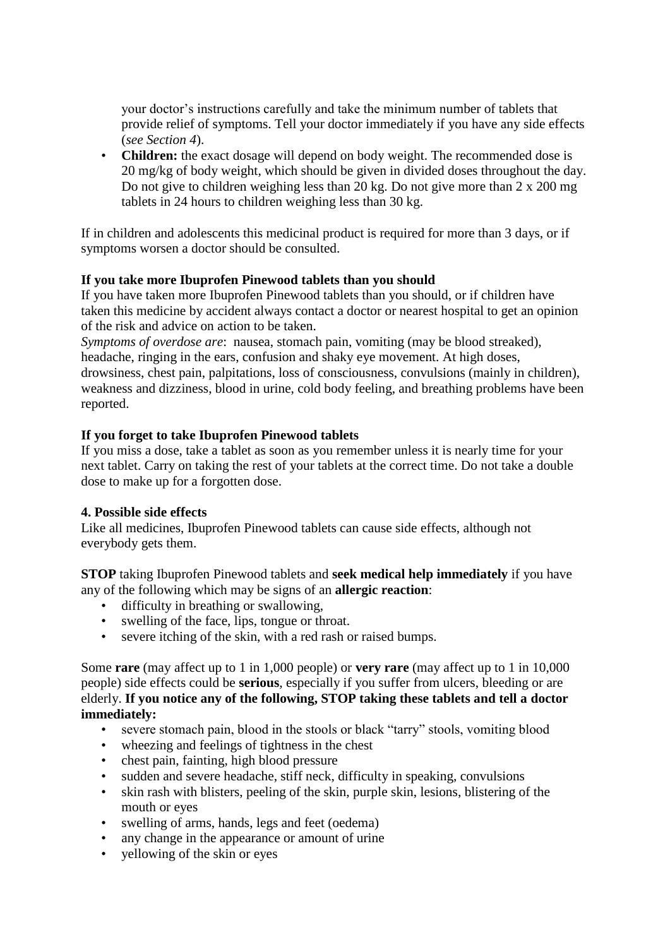your doctor's instructions carefully and take the minimum number of tablets that provide relief of symptoms. Tell your doctor immediately if you have any side effects (*see Section 4*).

• **Children:** the exact dosage will depend on body weight. The recommended dose is 20 mg/kg of body weight, which should be given in divided doses throughout the day. Do not give to children weighing less than 20 kg. Do not give more than 2 x 200 mg tablets in 24 hours to children weighing less than 30 kg.

If in children and adolescents this medicinal product is required for more than 3 days, or if symptoms worsen a doctor should be consulted.

## **If you take more Ibuprofen Pinewood tablets than you should**

If you have taken more Ibuprofen Pinewood tablets than you should, or if children have taken this medicine by accident always contact a doctor or nearest hospital to get an opinion of the risk and advice on action to be taken.

*Symptoms of overdose are*: nausea, stomach pain, vomiting (may be blood streaked), headache, ringing in the ears, confusion and shaky eye movement. At high doses, drowsiness, chest pain, palpitations, loss of consciousness, convulsions (mainly in children), weakness and dizziness, blood in urine, cold body feeling, and breathing problems have been reported.

#### **If you forget to take Ibuprofen Pinewood tablets**

If you miss a dose, take a tablet as soon as you remember unless it is nearly time for your next tablet. Carry on taking the rest of your tablets at the correct time. Do not take a double dose to make up for a forgotten dose.

#### **4. Possible side effects**

Like all medicines, Ibuprofen Pinewood tablets can cause side effects, although not everybody gets them.

**STOP** taking Ibuprofen Pinewood tablets and **seek medical help immediately** if you have any of the following which may be signs of an **allergic reaction**:

- difficulty in breathing or swallowing,
- swelling of the face, lips, tongue or throat.
- severe itching of the skin, with a red rash or raised bumps.

Some **rare** (may affect up to 1 in 1,000 people) or **very rare** (may affect up to 1 in 10,000 people) side effects could be **serious**, especially if you suffer from ulcers, bleeding or are elderly. **If you notice any of the following, STOP taking these tablets and tell a doctor immediately:**

- severe stomach pain, blood in the stools or black "tarry" stools, vomiting blood
- wheezing and feelings of tightness in the chest
- chest pain, fainting, high blood pressure
- sudden and severe headache, stiff neck, difficulty in speaking, convulsions
- skin rash with blisters, peeling of the skin, purple skin, lesions, blistering of the mouth or eyes
- swelling of arms, hands, legs and feet (oedema)
- any change in the appearance or amount of urine
- yellowing of the skin or eyes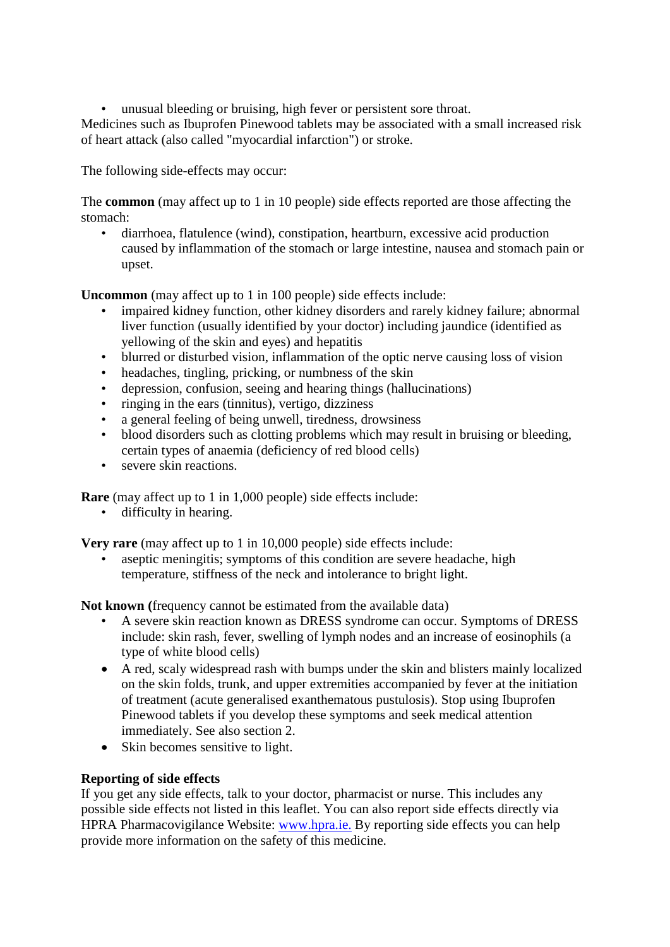• unusual bleeding or bruising, high fever or persistent sore throat.

Medicines such as Ibuprofen Pinewood tablets may be associated with a small increased risk of heart attack (also called "myocardial infarction") or stroke.

The following side-effects may occur:

The **common** (may affect up to 1 in 10 people) side effects reported are those affecting the stomach:

• diarrhoea, flatulence (wind), constipation, heartburn, excessive acid production caused by inflammation of the stomach or large intestine, nausea and stomach pain or upset.

**Uncommon** (may affect up to 1 in 100 people) side effects include:

- impaired kidney function, other kidney disorders and rarely kidney failure; abnormal liver function (usually identified by your doctor) including jaundice (identified as yellowing of the skin and eyes) and hepatitis
- blurred or disturbed vision, inflammation of the optic nerve causing loss of vision
- headaches, tingling, pricking, or numbness of the skin
- depression, confusion, seeing and hearing things (hallucinations)
- ringing in the ears (tinnitus), vertigo, dizziness
- a general feeling of being unwell, tiredness, drowsiness
- blood disorders such as clotting problems which may result in bruising or bleeding, certain types of anaemia (deficiency of red blood cells)
- severe skin reactions.

**Rare** (may affect up to 1 in 1,000 people) side effects include:

• difficulty in hearing.

**Very rare** (may affect up to 1 in 10,000 people) side effects include:

aseptic meningitis; symptoms of this condition are severe headache, high temperature, stiffness of the neck and intolerance to bright light.

**Not known (**frequency cannot be estimated from the available data)

- A severe skin reaction known as DRESS syndrome can occur. Symptoms of DRESS include: skin rash, fever, swelling of lymph nodes and an increase of eosinophils (a type of white blood cells)
- A red, scaly widespread rash with bumps under the skin and blisters mainly localized on the skin folds, trunk, and upper extremities accompanied by fever at the initiation of treatment (acute generalised exanthematous pustulosis). Stop using Ibuprofen Pinewood tablets if you develop these symptoms and seek medical attention immediately. See also section 2.
- Skin becomes sensitive to light.

# **Reporting of side effects**

If you get any side effects, talk to your doctor, pharmacist or nurse. This includes any possible side effects not listed in this leaflet. You can also report side effects directly via HPRA Pharmacovigilance Website: [www.hpra.ie.](http://www.hpra.ie/) By reporting side effects you can help provide more information on the safety of this medicine.